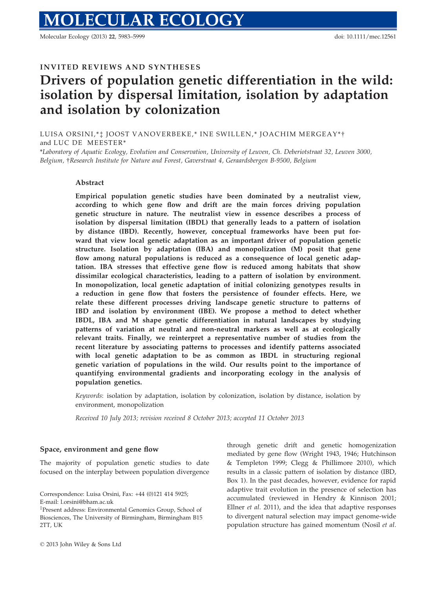Molecular Ecology (2013) 22, 5983–5999 doi: 10.1111/mec.12561

# INVITED REVIEWS AND SYNTHESES

# Drivers of population genetic differentiation in the wild: isolation by dispersal limitation, isolation by adaptation and isolation by colonization

LUISA ORSINI,\*‡ JOOST VANOVERBEKE,\* INE SWILLEN,\* JOACHIM MERGEAY\*† and LUC DE MEESTER\*

\*Laboratory of Aquatic Ecology, Evolution and Conservation, University of Leuven, Ch. Deberiotstraat 32, Leuven 3000, Belgium, †Research Institute for Nature and Forest, Gaverstraat 4, Geraardsbergen B-9500, Belgium

## Abstract

Empirical population genetic studies have been dominated by a neutralist view, according to which gene flow and drift are the main forces driving population genetic structure in nature. The neutralist view in essence describes a process of isolation by dispersal limitation (IBDL) that generally leads to a pattern of isolation by distance (IBD). Recently, however, conceptual frameworks have been put forward that view local genetic adaptation as an important driver of population genetic structure. Isolation by adaptation (IBA) and monopolization (M) posit that gene flow among natural populations is reduced as a consequence of local genetic adaptation. IBA stresses that effective gene flow is reduced among habitats that show dissimilar ecological characteristics, leading to a pattern of isolation by environment. In monopolization, local genetic adaptation of initial colonizing genotypes results in a reduction in gene flow that fosters the persistence of founder effects. Here, we relate these different processes driving landscape genetic structure to patterns of IBD and isolation by environment (IBE). We propose a method to detect whether IBDL, IBA and M shape genetic differentiation in natural landscapes by studying patterns of variation at neutral and non-neutral markers as well as at ecologically relevant traits. Finally, we reinterpret a representative number of studies from the recent literature by associating patterns to processes and identify patterns associated with local genetic adaptation to be as common as IBDL in structuring regional genetic variation of populations in the wild. Our results point to the importance of quantifying environmental gradients and incorporating ecology in the analysis of population genetics.

Keywords: isolation by adaptation, isolation by colonization, isolation by distance, isolation by environment, monopolization

Received 10 July 2013; revision received 8 October 2013; accepted 11 October 2013

#### Space, environment and gene flow

The majority of population genetic studies to date focused on the interplay between population divergence

Correspondence: Luisa Orsini, Fax: +44 (0)121 414 5925; E-mail: l.orsini@bham.ac.uk

through genetic drift and genetic homogenization mediated by gene flow (Wright 1943, 1946; Hutchinson & Templeton 1999; Clegg & Phillimore 2010), which results in a classic pattern of isolation by distance (IBD, Box 1). In the past decades, however, evidence for rapid adaptive trait evolution in the presence of selection has accumulated (reviewed in Hendry & Kinnison 2001; Ellner et al. 2011), and the idea that adaptive responses to divergent natural selection may impact genome-wide population structure has gained momentum (Nosil et al.

<sup>‡</sup> Present address: Environmental Genomics Group, School of Biosciences, The University of Birmingham, Birmingham B15 2TT, UK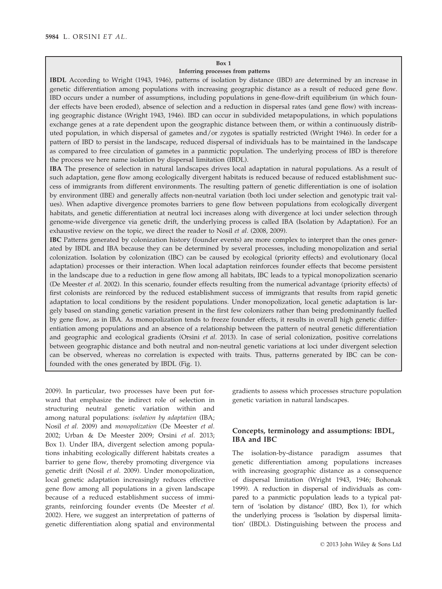#### Box 1

## Inferring processes from patterns

IBDL According to Wright (1943, 1946), patterns of isolation by distance (IBD) are determined by an increase in genetic differentiation among populations with increasing geographic distance as a result of reduced gene flow. IBD occurs under a number of assumptions, including populations in gene-flow-drift equilibrium (in which founder effects have been eroded), absence of selection and a reduction in dispersal rates (and gene flow) with increasing geographic distance (Wright 1943, 1946). IBD can occur in subdivided metapopulations, in which populations exchange genes at a rate dependent upon the geographic distance between them, or within a continuously distributed population, in which dispersal of gametes and/or zygotes is spatially restricted (Wright 1946). In order for a pattern of IBD to persist in the landscape, reduced dispersal of individuals has to be maintained in the landscape as compared to free circulation of gametes in a panmictic population. The underlying process of IBD is therefore the process we here name isolation by dispersal limitation (IBDL).

IBA The presence of selection in natural landscapes drives local adaptation in natural populations. As a result of such adaptation, gene flow among ecologically divergent habitats is reduced because of reduced establishment success of immigrants from different environments. The resulting pattern of genetic differentiation is one of isolation by environment (IBE) and generally affects non-neutral variation (both loci under selection and genotypic trait values). When adaptive divergence promotes barriers to gene flow between populations from ecologically divergent habitats, and genetic differentiation at neutral loci increases along with divergence at loci under selection through genome-wide divergence via genetic drift, the underlying process is called IBA (Isolation by Adaptation). For an exhaustive review on the topic, we direct the reader to Nosil et al. (2008, 2009).

IBC Patterns generated by colonization history (founder events) are more complex to interpret than the ones generated by IBDL and IBA because they can be determined by several processes, including monopolization and serial colonization. Isolation by colonization (IBC) can be caused by ecological (priority effects) and evolutionary (local adaptation) processes or their interaction. When local adaptation reinforces founder effects that become persistent in the landscape due to a reduction in gene flow among all habitats, IBC leads to a typical monopolization scenario (De Meester et al. 2002). In this scenario, founder effects resulting from the numerical advantage (priority effects) of first colonists are reinforced by the reduced establishment success of immigrants that results from rapid genetic adaptation to local conditions by the resident populations. Under monopolization, local genetic adaptation is largely based on standing genetic variation present in the first few colonizers rather than being predominantly fuelled by gene flow, as in IBA. As monopolization tends to freeze founder effects, it results in overall high genetic differentiation among populations and an absence of a relationship between the pattern of neutral genetic differentiation and geographic and ecological gradients (Orsini et al. 2013). In case of serial colonization, positive correlations between geographic distance and both neutral and non-neutral genetic variations at loci under divergent selection can be observed, whereas no correlation is expected with traits. Thus, patterns generated by IBC can be confounded with the ones generated by IBDL (Fig. 1).

2009). In particular, two processes have been put forward that emphasize the indirect role of selection in structuring neutral genetic variation within and among natural populations: isolation by adaptation (IBA; Nosil et al. 2009) and monopolization (De Meester et al. 2002; Urban & De Meester 2009; Orsini et al. 2013; Box 1). Under IBA, divergent selection among populations inhabiting ecologically different habitats creates a barrier to gene flow, thereby promoting divergence via genetic drift (Nosil et al. 2009). Under monopolization, local genetic adaptation increasingly reduces effective gene flow among all populations in a given landscape because of a reduced establishment success of immigrants, reinforcing founder events (De Meester et al. 2002). Here, we suggest an interpretation of patterns of genetic differentiation along spatial and environmental

gradients to assess which processes structure population genetic variation in natural landscapes.

## Concepts, terminology and assumptions: IBDL, IBA and IBC

The isolation-by-distance paradigm assumes that genetic differentiation among populations increases with increasing geographic distance as a consequence of dispersal limitation (Wright 1943, 1946; Bohonak 1999). A reduction in dispersal of individuals as compared to a panmictic population leads to a typical pattern of 'isolation by distance' (IBD, Box 1), for which the underlying process is 'Isolation by dispersal limitation' (IBDL). Distinguishing between the process and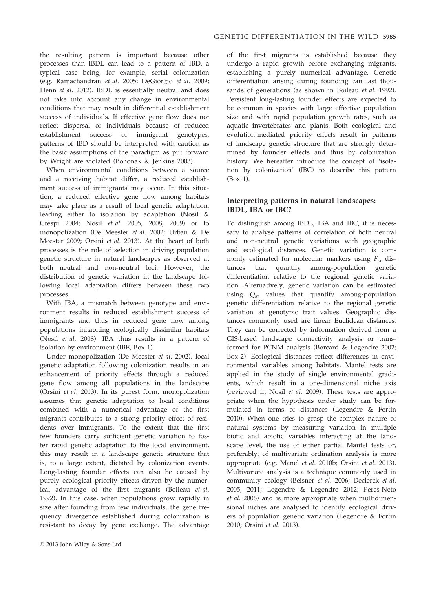the resulting pattern is important because other processes than IBDL can lead to a pattern of IBD, a typical case being, for example, serial colonization (e.g. Ramachandran et al. 2005; DeGiorgio et al. 2009; Henn et al. 2012). IBDL is essentially neutral and does not take into account any change in environmental conditions that may result in differential establishment success of individuals. If effective gene flow does not reflect dispersal of individuals because of reduced establishment success of immigrant genotypes, patterns of IBD should be interpreted with caution as the basic assumptions of the paradigm as put forward by Wright are violated (Bohonak & Jenkins 2003).

When environmental conditions between a source and a receiving habitat differ, a reduced establishment success of immigrants may occur. In this situation, a reduced effective gene flow among habitats may take place as a result of local genetic adaptation, leading either to isolation by adaptation (Nosil & Crespi 2004; Nosil et al. 2005, 2008, 2009) or to monopolization (De Meester et al. 2002; Urban & De Meester 2009; Orsini et al. 2013). At the heart of both processes is the role of selection in driving population genetic structure in natural landscapes as observed at both neutral and non-neutral loci. However, the distribution of genetic variation in the landscape following local adaptation differs between these two processes.

With IBA, a mismatch between genotype and environment results in reduced establishment success of immigrants and thus in reduced gene flow among populations inhabiting ecologically dissimilar habitats (Nosil et al. 2008). IBA thus results in a pattern of isolation by environment (IBE, Box 1).

Under monopolization (De Meester et al. 2002), local genetic adaptation following colonization results in an enhancement of priority effects through a reduced gene flow among all populations in the landscape (Orsini et al. 2013). In its purest form, monopolization assumes that genetic adaptation to local conditions combined with a numerical advantage of the first migrants contributes to a strong priority effect of residents over immigrants. To the extent that the first few founders carry sufficient genetic variation to foster rapid genetic adaptation to the local environment, this may result in a landscape genetic structure that is, to a large extent, dictated by colonization events. Long-lasting founder effects can also be caused by purely ecological priority effects driven by the numerical advantage of the first migrants (Boileau et al. 1992). In this case, when populations grow rapidly in size after founding from few individuals, the gene frequency divergence established during colonization is resistant to decay by gene exchange. The advantage of the first migrants is established because they undergo a rapid growth before exchanging migrants, establishing a purely numerical advantage. Genetic differentiation arising during founding can last thousands of generations (as shown in Boileau et al. 1992). Persistent long-lasting founder effects are expected to be common in species with large effective population size and with rapid population growth rates, such as aquatic invertebrates and plants. Both ecological and evolution-mediated priority effects result in patterns of landscape genetic structure that are strongly determined by founder effects and thus by colonization history. We hereafter introduce the concept of 'isolation by colonization' (IBC) to describe this pattern (Box 1).

# Interpreting patterns in natural landscapes: IBDL, IBA or IBC?

To distinguish among IBDL, IBA and IBC, it is necessary to analyse patterns of correlation of both neutral and non-neutral genetic variations with geographic and ecological distances. Genetic variation is commonly estimated for molecular markers using  $F_{ST}$  distances that quantify among-population genetic differentiation relative to the regional genetic variation. Alternatively, genetic variation can be estimated using  $Q_{ST}$  values that quantify among-population genetic differentiation relative to the regional genetic variation at genotypic trait values. Geographic distances commonly used are linear Euclidean distances. They can be corrected by information derived from a GIS-based landscape connectivity analysis or transformed for PCNM analysis (Borcard & Legendre 2002; Box 2). Ecological distances reflect differences in environmental variables among habitats. Mantel tests are applied in the study of single environmental gradients, which result in a one-dimensional niche axis (reviewed in Nosil et al. 2009). These tests are appropriate when the hypothesis under study can be formulated in terms of distances (Legendre & Fortin 2010). When one tries to grasp the complex nature of natural systems by measuring variation in multiple biotic and abiotic variables interacting at the landscape level, the use of either partial Mantel tests or, preferably, of multivariate ordination analysis is more appropriate (e.g. Manel et al. 2010b; Orsini et al. 2013). Multivariate analysis is a technique commonly used in community ecology (Beisner et al. 2006; Declerck et al. 2005, 2011; Legendre & Legendre 2012; Peres-Neto et al. 2006) and is more appropriate when multidimensional niches are analysed to identify ecological drivers of population genetic variation (Legendre & Fortin 2010; Orsini et al. 2013).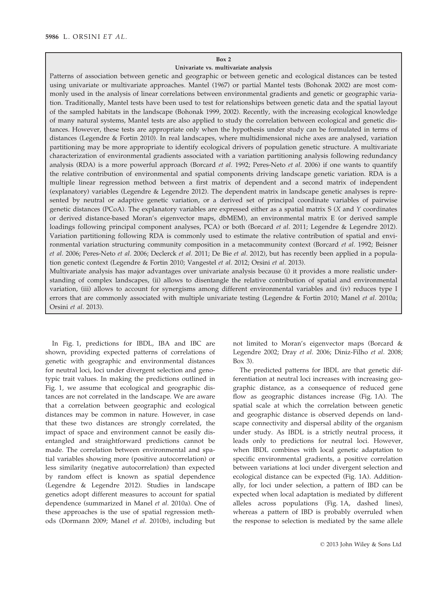## Box 2

#### Univariate vs. multivariate analysis

Patterns of association between genetic and geographic or between genetic and ecological distances can be tested using univariate or multivariate approaches. Mantel (1967) or partial Mantel tests (Bohonak 2002) are most commonly used in the analysis of linear correlations between environmental gradients and genetic or geographic variation. Traditionally, Mantel tests have been used to test for relationships between genetic data and the spatial layout of the sampled habitats in the landscape (Bohonak 1999, 2002). Recently, with the increasing ecological knowledge of many natural systems, Mantel tests are also applied to study the correlation between ecological and genetic distances. However, these tests are appropriate only when the hypothesis under study can be formulated in terms of distances (Legendre & Fortin 2010). In real landscapes, where multidimensional niche axes are analysed, variation partitioning may be more appropriate to identify ecological drivers of population genetic structure. A multivariate characterization of environmental gradients associated with a variation partitioning analysis following redundancy analysis (RDA) is a more powerful approach (Borcard *et al.* 1992; Peres-Neto *et al.* 2006) if one wants to quantify the relative contribution of environmental and spatial components driving landscape genetic variation. RDA is a multiple linear regression method between a first matrix of dependent and a second matrix of independent (explanatory) variables (Legendre & Legendre 2012). The dependent matrix in landscape genetic analyses is represented by neutral or adaptive genetic variation, or a derived set of principal coordinate variables of pairwise genetic distances (PCoA). The explanatory variables are expressed either as a spatial matrix S (X and Y coordinates or derived distance-based Moran's eigenvector maps, dbMEM), an environmental matrix E (or derived sample loadings following principal component analyses, PCA) or both (Borcard et al. 2011; Legendre & Legendre 2012). Variation partitioning following RDA is commonly used to estimate the relative contribution of spatial and environmental variation structuring community composition in a metacommunity context (Borcard et al. 1992; Beisner et al. 2006; Peres-Neto et al. 2006; Declerck et al. 2011; De Bie et al. 2012), but has recently been applied in a population genetic context (Legendre & Fortin 2010; Vangestel et al. 2012; Orsini et al. 2013).

Multivariate analysis has major advantages over univariate analysis because (i) it provides a more realistic understanding of complex landscapes, (ii) allows to disentangle the relative contribution of spatial and environmental variation, (iii) allows to account for synergisms among different environmental variables and (iv) reduces type I errors that are commonly associated with multiple univariate testing (Legendre & Fortin 2010; Manel et al. 2010a; Orsini et al. 2013).

In Fig. 1, predictions for IBDL, IBA and IBC are shown, providing expected patterns of correlations of genetic with geographic and environmental distances for neutral loci, loci under divergent selection and genotypic trait values. In making the predictions outlined in Fig. 1, we assume that ecological and geographic distances are not correlated in the landscape. We are aware that a correlation between geographic and ecological distances may be common in nature. However, in case that these two distances are strongly correlated, the impact of space and environment cannot be easily disentangled and straightforward predictions cannot be made. The correlation between environmental and spatial variables showing more (positive autocorrelation) or less similarity (negative autocorrelation) than expected by random effect is known as spatial dependence (Legendre & Legendre 2012). Studies in landscape genetics adopt different measures to account for spatial dependence (summarized in Manel et al. 2010a). One of these approaches is the use of spatial regression methods (Dormann 2009; Manel et al. 2010b), including but not limited to Moran's eigenvector maps (Borcard & Legendre 2002; Dray et al. 2006; Diniz-Filho et al. 2008; Box 3).

The predicted patterns for IBDL are that genetic differentiation at neutral loci increases with increasing geographic distance, as a consequence of reduced gene flow as geographic distances increase (Fig. 1A). The spatial scale at which the correlation between genetic and geographic distance is observed depends on landscape connectivity and dispersal ability of the organism under study. As IBDL is a strictly neutral process, it leads only to predictions for neutral loci. However, when IBDL combines with local genetic adaptation to specific environmental gradients, a positive correlation between variations at loci under divergent selection and ecological distance can be expected (Fig. 1A). Additionally, for loci under selection, a pattern of IBD can be expected when local adaptation is mediated by different alleles across populations (Fig. 1A, dashed lines), whereas a pattern of IBD is probably overruled when the response to selection is mediated by the same allele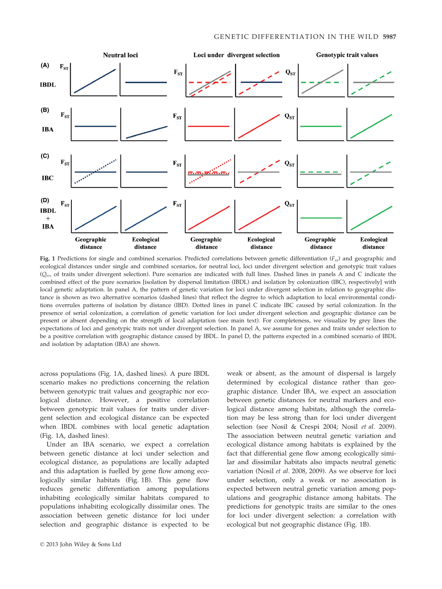

Fig. 1 Predictions for single and combined scenarios. Predicted correlations between genetic differentiation ( $F_{ST}$ ) and geographic and ecological distances under single and combined scenarios, for neutral loci, loci under divergent selection and genotypic trait values  $(Q<sub>ST</sub>)$  of traits under divergent selection). Pure scenarios are indicated with full lines. Dashed lines in panels A and C indicate the combined effect of the pure scenarios [isolation by dispersal limitation (IBDL) and isolation by colonization (IBC), respectively] with local genetic adaptation. In panel A, the pattern of genetic variation for loci under divergent selection in relation to geographic distance is shown as two alternative scenarios (dashed lines) that reflect the degree to which adaptation to local environmental conditions overrules patterns of isolation by distance (IBD). Dotted lines in panel C indicate IBC caused by serial colonization. In the presence of serial colonization, a correlation of genetic variation for loci under divergent selection and geographic distance can be present or absent depending on the strength of local adaptation (see main text). For completeness, we visualize by grey lines the expectations of loci and genotypic traits not under divergent selection. In panel A, we assume for genes and traits under selection to be a positive correlation with geographic distance caused by IBDL. In panel D, the patterns expected in a combined scenario of IBDL and isolation by adaptation (IBA) are shown.

across populations (Fig. 1A, dashed lines). A pure IBDL scenario makes no predictions concerning the relation between genotypic trait values and geographic nor ecological distance. However, a positive correlation between genotypic trait values for traits under divergent selection and ecological distance can be expected when IBDL combines with local genetic adaptation (Fig. 1A, dashed lines).

Under an IBA scenario, we expect a correlation between genetic distance at loci under selection and ecological distance, as populations are locally adapted and this adaptation is fuelled by gene flow among ecologically similar habitats (Fig. 1B). This gene flow reduces genetic differentiation among populations inhabiting ecologically similar habitats compared to populations inhabiting ecologically dissimilar ones. The association between genetic distance for loci under selection and geographic distance is expected to be weak or absent, as the amount of dispersal is largely determined by ecological distance rather than geographic distance. Under IBA, we expect an association between genetic distances for neutral markers and ecological distance among habitats, although the correlation may be less strong than for loci under divergent selection (see Nosil & Crespi 2004; Nosil et al. 2009). The association between neutral genetic variation and ecological distance among habitats is explained by the fact that differential gene flow among ecologically similar and dissimilar habitats also impacts neutral genetic variation (Nosil et al. 2008, 2009). As we observe for loci under selection, only a weak or no association is expected between neutral genetic variation among populations and geographic distance among habitats. The predictions for genotypic traits are similar to the ones for loci under divergent selection: a correlation with ecological but not geographic distance (Fig. 1B).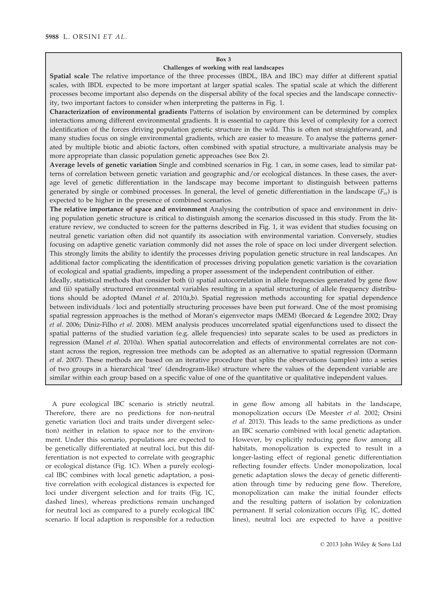#### Box 3

### Challenges of working with real landscapes

Spatial scale The relative importance of the three processes (IBDL, IBA and IBC) may differ at different spatial scales, with IBDL expected to be more important at larger spatial scales. The spatial scale at which the different processes become important also depends on the dispersal ability of the focal species and the landscape connectivity, two important factors to consider when interpreting the patterns in Fig. 1.

Characterization of environmental gradients Patterns of isolation by environment can be determined by complex interactions among different environmental gradients. It is essential to capture this level of complexity for a correct identification of the forces driving population genetic structure in the wild. This is often not straightforward, and many studies focus on single environmental gradients, which are easier to measure. To analyse the patterns generated by multiple biotic and abiotic factors, often combined with spatial structure, a multivariate analysis may be more appropriate than classic population genetic approaches (see Box 2).

Average levels of genetic variation Single and combined scenarios in Fig. 1 can, in some cases, lead to similar patterns of correlation between genetic variation and geographic and/or ecological distances. In these cases, the average level of genetic differentiation in the landscape may become important to distinguish between patterns generated by single or combined processes. In general, the level of genetic differentiation in the landscape  $(F_{ST})$  is expected to be higher in the presence of combined scenarios.

The relative importance of space and environment Analysing the contribution of space and environment in driving population genetic structure is critical to distinguish among the scenarios discussed in this study. From the literature review, we conducted to screen for the patterns described in Fig. 1, it was evident that studies focusing on neutral genetic variation often did not quantify its association with environmental variation. Conversely, studies focusing on adaptive genetic variation commonly did not asses the role of space on loci under divergent selection. This strongly limits the ability to identify the processes driving population genetic structure in real landscapes. An additional factor complicating the identification of processes driving population genetic variation is the covariation of ecological and spatial gradients, impeding a proper assessment of the independent contribution of either.

Ideally, statistical methods that consider both (i) spatial autocorrelation in allele frequencies generated by gene flow and (ii) spatially structured environmental variables resulting in a spatial structuring of allele frequency distributions should be adopted (Manel *et al.* 2010a,b). Spatial regression methods accounting for spatial dependence between individuals ⁄ loci and potentially structuring processes have been put forward. One of the most promising spatial regression approaches is the method of Moran's eigenvector maps (MEM) (Borcard & Legendre 2002; Dray et al. 2006; Diniz-Filho et al. 2008). MEM analysis produces uncorrelated spatial eigenfunctions used to dissect the spatial patterns of the studied variation (e.g. allele frequencies) into separate scales to be used as predictors in regression (Manel et al. 2010a). When spatial autocorrelation and effects of environmental correlates are not constant across the region, regression tree methods can be adopted as an alternative to spatial regression (Dormann et al. 2007). These methods are based on an iterative procedure that splits the observations (samples) into a series of two groups in a hierarchical 'tree' (dendrogram-like) structure where the values of the dependent variable are similar within each group based on a specific value of one of the quantitative or qualitative independent values.

A pure ecological IBC scenario is strictly neutral. Therefore, there are no predictions for non-neutral genetic variation (loci and traits under divergent selection) neither in relation to space nor to the environment. Under this scenario, populations are expected to be genetically differentiated at neutral loci, but this differentiation is not expected to correlate with geographic or ecological distance (Fig. 1C). When a purely ecological IBC combines with local genetic adaptation, a positive correlation with ecological distances is expected for loci under divergent selection and for traits (Fig. 1C, dashed lines), whereas predictions remain unchanged for neutral loci as compared to a purely ecological IBC scenario. If local adaption is responsible for a reduction

in gene flow among all habitats in the landscape, monopolization occurs (De Meester et al. 2002; Orsini et al. 2013). This leads to the same predictions as under an IBC scenario combined with local genetic adaptation. However, by explicitly reducing gene flow among all habitats, monopolization is expected to result in a longer-lasting effect of regional genetic differentiation reflecting founder effects. Under monopolization, local genetic adaptation slows the decay of genetic differentiation through time by reducing gene flow. Therefore, monopolization can make the initial founder effects and the resulting pattern of isolation by colonization permanent. If serial colonization occurs (Fig. 1C, dotted lines), neutral loci are expected to have a positive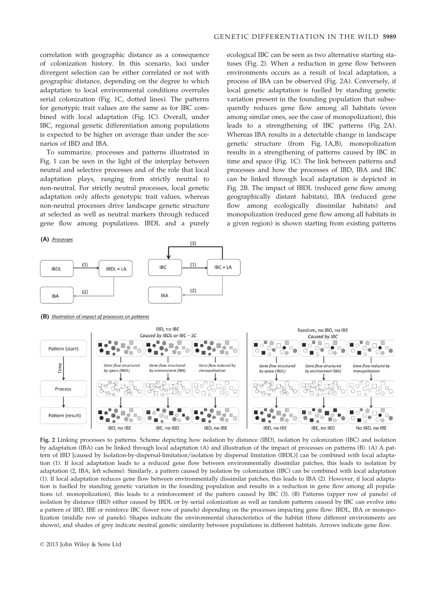correlation with geographic distance as a consequence of colonization history. In this scenario, loci under divergent selection can be either correlated or not with geographic distance, depending on the degree to which adaptation to local environmental conditions overrules serial colonization (Fig. 1C, dotted lines). The patterns for genotypic trait values are the same as for IBC combined with local adaptation (Fig. 1C). Overall, under IBC, regional genetic differentiation among populations is expected to be higher on average than under the scenarios of IBD and IBA.

To summarize, processes and patterns illustrated in Fig. 1 can be seen in the light of the interplay between neutral and selective processes and of the role that local adaptation plays, ranging from strictly neutral to non-neutral. For strictly neutral processes, local genetic adaptation only affects genotypic trait values, whereas non-neutral processes drive landscape genetic structure at selected as well as neutral markers through reduced gene flow among populations. IBDL and a purely

ecological IBC can be seen as two alternative starting statuses (Fig. 2). When a reduction in gene flow between environments occurs as a result of local adaptation, a process of IBA can be observed (Fig. 2A). Conversely, if local genetic adaptation is fuelled by standing genetic variation present in the founding population that subsequently reduces gene flow among all habitats (even among similar ones, see the case of monopolization), this leads to a strengthening of IBC patterns (Fig. 2A). Whereas IBA results in a detectable change in landscape genetic structure (from Fig. 1A,B), monopolization results in a strengthening of patterns caused by IBC in time and space (Fig. 1C). The link between patterns and processes and how the processes of IBD, IBA and IBC can be linked through local adaptation is depicted in Fig. 2B. The impact of IBDL (reduced gene flow among geographically distant habitats), IBA (reduced gene flow among ecologically dissimilar habitats) and monopolization (reduced gene flow among all habitats in a given region) is shown starting from existing patterns





**(B)** Illustration of impact of processes on patterns



Fig. 2 Linking processes to patterns. Scheme depicting how isolation by distance (IBD), isolation by colonization (IBC) and isolation by adaptation (IBA) can be linked through local adaptation (A) and illustration of the impact of processes on patterns (B). (A) A pattern of IBD [caused by Isolation-by-dispersal-limitation/isolation by dispersal limitation (IBDL)] can be combined with local adaptation (1). If local adaptation leads to a reduced gene flow between environmentally dissimilar patches, this leads to isolation by adaptation (2, IBA; left scheme). Similarly, a pattern caused by isolation by colonization (IBC) can be combined with local adaptation (1). If local adaptation reduces gene flow between environmentally dissimilar patches, this leads to IBA (2). However, if local adaptation is fuelled by standing genetic variation in the founding population and results in a reduction in gene flow among all populations (cf. monopolization), this leads to a reinforcement of the pattern caused by IBC (3). (B) Patterns (upper row of panels) of isolation by distance (IBD) either caused by IBDL or by serial colonization as well as random patterns caused by IBC can evolve into a pattern of IBD, IBE or reinforce IBC (lower row of panels) depending on the processes impacting gene flow: IBDL, IBA or monopolization (middle row of panels). Shapes indicate the environmental characteristics of the habitat (three different environments are shown), and shades of grey indicate neutral genetic similarity between populations in different habitats. Arrows indicate gene flow.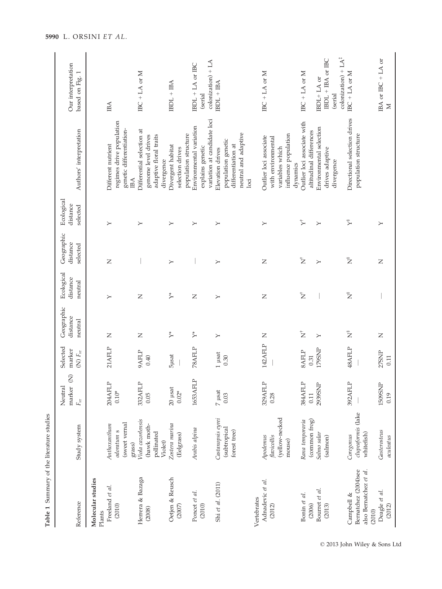| Table 1 Summary of the literature studies                              |                                                             |                                                     |                                        |                                   |                                   |                                    |                                    |                                                                                                                                |                                                               |
|------------------------------------------------------------------------|-------------------------------------------------------------|-----------------------------------------------------|----------------------------------------|-----------------------------------|-----------------------------------|------------------------------------|------------------------------------|--------------------------------------------------------------------------------------------------------------------------------|---------------------------------------------------------------|
| Reference                                                              | Study system                                                | $\widehat{z}$<br>marker<br>Neutral<br>$F_{\rm{ST}}$ | Selected<br>marker<br>(N) $F_{\rm sr}$ | Geographic<br>distance<br>neutral | Ecological<br>distance<br>neutral | Geographic<br>distance<br>selected | Ecological<br>distance<br>selected | Authors' interpretation                                                                                                        | Our interpretation<br>based on Fig. 1                         |
| Molecular studies<br>Plants                                            |                                                             |                                                     |                                        |                                   |                                   |                                    |                                    |                                                                                                                                |                                                               |
| Freeland et al.<br>(2010)                                              | (sweet vernal<br>Anthoxanthum<br>odoratum s<br>grass)       | 204AFLP<br>$0.10*$                                  | 21AFLP                                 | $\mathsf{Z}$                      | $\succ$                           | $\mathsf{Z}$                       | $\succ$                            | regimes drive population<br>genetic differentiation-<br>Different nutrient<br>IВA                                              | IBA                                                           |
| Herrera & Bazaga<br>(2008)                                             | Viola cazorlensis<br>(hawk moth-<br>pollinated<br>Violet)   | 332AFLP<br>0.05                                     | 9AFLP<br>0.40                          | Z                                 | Z                                 |                                    | $\succ$                            | Differential selection at<br>genome level drives<br>adaptive floral traits<br>divergence                                       | IBC + LA or $M$                                               |
| Oetjen & Reusch<br>(2007)                                              | Zostera marina<br>(Eelgrass)                                | $20\,$ µsat<br>$0.02*$                              | <b>5</b> µsat                          | $\stackrel{*}{\succ}$             | $\stackrel{*}{\succ}$             | $\succ$                            | $\succ$                            | population structure<br>Divergent habitat<br>selection drives                                                                  | $IBDL + IBA$                                                  |
| Poncet et al.<br>(2010)                                                | Arabis alpina                                               | 1653AFLP                                            | 78AFLP                                 | $\stackrel{*}{\succ}$             | Z                                 |                                    | $\succ$                            | variation at candidate loci<br>Environmental variation<br>explains genetic                                                     | $colonization$ ) + LA<br>IBDL + LA or IBC<br>(serial          |
| Shi et al. (2011)                                                      | Castanopsis eyrei<br>(subtropical<br>forest tree)           | $7\ \mu\mathrm{sat}$<br>0.03                        | $1$ µsat<br>0.30                       | $\succ$                           | $\succ$                           | $\succ$                            | $\succ$                            | neutral and adaptive<br>population genetic<br>differentiation at<br>Elevation drives<br>loci                                   | $IBDL + IBA$                                                  |
| Adnadevic et al.<br>Vertebrates<br>(2012)                              | (yellow-necked<br>Apodemus<br>flavicollis<br>mouse)         | 329 AFLP<br>0.28                                    | 142AFLP                                | Z                                 | Z                                 | $\mathsf{Z}$                       | $\succ$                            | influence population<br>Outlier loci associate<br>with environmental<br>variables which                                        | IBC + LA or $M$                                               |
| Bourret et al.<br>Bonin et al.<br>(2006)<br>(2013)                     | (common frog)<br>Rana temporaria<br>Salmo salar<br>(salmon) | 384AFLP<br>2939SNP<br>0.11                          | 179SNP<br><b>SAFLP</b><br>0.31         | $\bar{z}$<br>$\succ$              | $\bar{z}$                         | $\mathbf{\dot{z}}$<br>$\succ$      | $\overline{Y}$<br>$\succ$          | Outlier loci associate with<br>Environmental selection<br>altitudinal differences<br>drives adaptive<br>divergence<br>dynamics | IBDL + IBA or IBC<br>IBC + LA or $M$<br>IBDL+LA or<br>(serial |
| Bernatchez (2004)see<br>also Bernatchez et al.<br>Campbell &<br>(2010) | clupeaformis (lake<br>whitefish)<br>Coregonus               | 392AFLP                                             | 48AFLP                                 | Ž                                 | $\tilde{z}$                       | $\sum_{i=1}^{n}$                   | $\tilde{Y}$                        | Directional selection drives<br>population structure                                                                           | colonization) + $LA^{\ddagger}$<br>IBC + LA or $M$            |
| Deagle et al.<br>(2012)                                                | Gasterosteus<br>aculeatus                                   | 1509SNP<br>0.19                                     | 27SNP<br>0.11                          | Z                                 |                                   | $\overline{z}$                     | $\succ$                            |                                                                                                                                | IBA or IBC + LA or<br>Σ                                       |

© 2013 John Wiley & Sons Ltd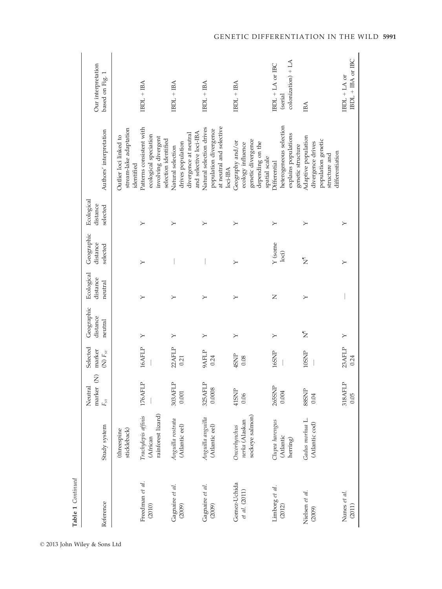| Table 1 Continued             |                                                       |                                                             |                                        |                                   |                                   |                                    |                                    |                                                                                                    |                                                  |
|-------------------------------|-------------------------------------------------------|-------------------------------------------------------------|----------------------------------------|-----------------------------------|-----------------------------------|------------------------------------|------------------------------------|----------------------------------------------------------------------------------------------------|--------------------------------------------------|
| Reference                     | Study system                                          | $\widehat{\mathbf{z}}$<br>Neutral<br>marker<br>$F_{\rm sr}$ | Selected<br>marker<br>(N) $F_{\rm sr}$ | Geographic<br>distance<br>neutral | Ecological<br>distance<br>neutral | Geographic<br>distance<br>selected | Ecological<br>distance<br>selected | Authors' interpretation                                                                            | Our interpretation<br>based on Fig. 1            |
|                               | stickleback)<br>(threespine                           |                                                             |                                        |                                   |                                   |                                    |                                    | stream-lake adaptation<br>Outlier loci linked to<br>identified                                     |                                                  |
| Freedman et al.<br>(2010)     | rainforest lizard)<br>Trachylepis affinis<br>(African | 176AFLP                                                     | 16AFLP                                 | $\geq$                            | $\succ$                           | $\succ$                            | $\succ$                            | Patterns consistent with<br>ecological speciation<br>involving divergent<br>selection identified   | $IBDL + IBA$                                     |
| Gagnaire et al.<br>(2009)     | Anguilla rostrata<br>(Atlantic eel)                   | 303AFLP<br>0.001                                            | 22AFLP<br>0.21                         | $\succ$                           | $\succ$                           |                                    | $\succ$                            | and selective loci-IBA<br>divergence at neutral<br>drives population<br>Natural selection          | $IBDL + IBA$                                     |
| Gagnaire et al.<br>(2009)     | Anguilla anguilla<br>(Atlantic eel)                   | 325AFLP<br>0.0008                                           | 9AFLP<br>0.24                          | ≻                                 | $\succ$                           |                                    | ≻                                  | at neutral and selective<br>Natural selection drives<br>population divergence<br>loci-IBA          | $IBDL + IBA$                                     |
| Gomez-Uchida<br>et al. (2011) | sockeye salmon)<br>nerka (Alaskan<br>Oncorhynchus     | 41SNP<br>0.06                                               | 4SNP<br>0.08                           | $\succ$                           | ≻                                 | ≻                                  | ≻                                  | genetic divergence<br>Geography and/or<br>depending on the<br>ecology influence<br>spatial scale   | $IBDL + BA$                                      |
| Limborg et al.<br>(2012)      | Clupea harengus<br>(Atlantic<br>herring)              | 265SNP<br>0.004                                             | 16SNP                                  | $\succ$                           | Z                                 | Y (some<br>$_{\rm loci}$           | $\succ$                            | heterogeneous selection<br>explains populations<br>genetic structure<br>Differential               | $coloration + LA$<br>IBDL + LA or IBC<br>(serial |
| Nielsen et al.<br>(2009)      | Gadus morhua L.<br>(Atlantic cod)                     | <b>SSSNP</b><br>0.04                                        | 10SNP                                  | $\bar{z}$                         | $\succ$                           | Σ                                  | $\succ$                            | Adaptive population<br>population genetic<br>divergence drives<br>differentiation<br>structure and | IВА                                              |
| Nunes et al.<br>(2011)        |                                                       | 318AFLP<br>0.05                                             | 23AFLP<br>0.24                         | $\geq$                            |                                   | $\succ$                            | $\succ$                            |                                                                                                    | IBDL + IBA or IBC<br>IBDL + LA or                |

© 2013 John Wiley & Sons Ltd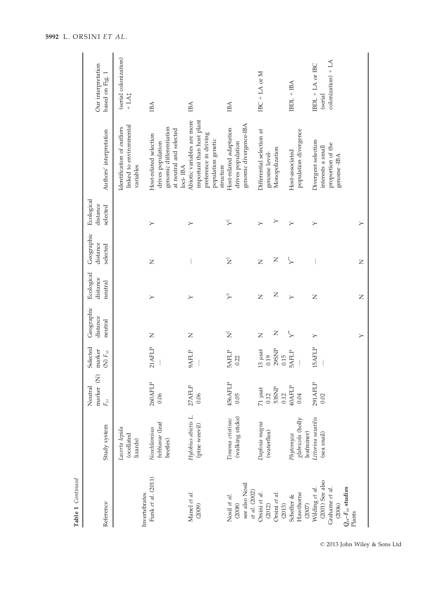| Our interpretation<br>based on Fig. 1              | (serial colonization)<br>$+ LA\ddagger$                            | IBA                                                                                                           | IBA                                                                                                                 | IBA                                                                    | IBC + LA or $M$                                              | $IBDL + IBA$                                 | $coloration + LA$<br>IBDL + LA or IBC<br>(serial                                                                 |               |
|----------------------------------------------------|--------------------------------------------------------------------|---------------------------------------------------------------------------------------------------------------|---------------------------------------------------------------------------------------------------------------------|------------------------------------------------------------------------|--------------------------------------------------------------|----------------------------------------------|------------------------------------------------------------------------------------------------------------------|---------------|
| Authors' interpretation                            | linked to environmental<br>Identification of outliers<br>variables | genomic differentiation<br>at neutral and selected<br>Host-related selection<br>drives population<br>loci-IBA | important than host plant<br>Abiotic variables are more<br>preference in driving<br>population genetic<br>structure | genomic divergence-IBA<br>Host-related adaptation<br>drives population | Differential selection at<br>Monopolization<br>genome level- | population divergence<br>Host-associated     | Divergent selection<br>proportion of the<br>interests a small<br>genome-IBA                                      |               |
| Ecological<br>distance<br>selected                 |                                                                    | $\succ$                                                                                                       | $\succ$                                                                                                             | ⋝                                                                      | ≻<br>$\succ$                                                 | $\succ$                                      | $\succ$                                                                                                          | $\succ$       |
| Geographic<br>distance<br>selected                 |                                                                    | $\overline{z}$                                                                                                |                                                                                                                     | Ż                                                                      | Z<br>$\overline{z}$                                          | 〝                                            |                                                                                                                  | $\square$     |
| Ecological<br>distance<br>neutral                  |                                                                    | ≻                                                                                                             | $\succ$                                                                                                             | ⋝                                                                      | Z<br>$\mathsf{Z}$                                            | $\succ$                                      | Z                                                                                                                | Z             |
| Geographic<br>distance<br>neutral                  |                                                                    | Z                                                                                                             | Z                                                                                                                   | $\bar{z}$                                                              | Z<br>$\mathsf{Z}$                                            |                                              | ≻                                                                                                                | $\rightarrow$ |
| Selected<br>marker<br>(N) $F_{\rm sr}$             |                                                                    | 21AFLP                                                                                                        | 9AFLP                                                                                                               | <b>5AFLP</b><br>0.22                                                   | $29\mathrm{SNP}$<br>$13$ $\mu$ sat<br>0.15<br>0.19           | <b>5AFLP</b>                                 | 15AFLP                                                                                                           |               |
| $\widehat{z}$<br>Neutral<br>marker<br>$F_{\rm sr}$ |                                                                    | 260AFLP<br>0.06                                                                                               | 27AFLP<br>0.06                                                                                                      | 456AFLP<br>0.05                                                        | 71 µsat<br><b>53SNP</b><br>0.12<br>0.12                      | 40AFLP<br>0.04                               | 291AFLP<br>0.02                                                                                                  |               |
| Study system                                       | Lacerta lepida<br>(ocellated<br>lizards)                           | bebbianae (leaf<br>Neochlamisus<br>beetles)                                                                   | Hylobius abietis L.<br>(pine weevil)                                                                                | (walking sticks)<br>Timema cristinae                                   | Daphnia magna<br>(waterflea)                                 | glabricola (holly<br>leafminer)<br>Phytomyza | Littorina saxatilis<br>(sea snail)                                                                               |               |
| Reference                                          | Invertebrates                                                      | Funk et al. (2011)                                                                                            | Manel et al.<br>(2009)                                                                                              | see also Nosil<br>et al. (2002)<br>Nosil et al.<br>(2008)              | Orsini et al.<br>Orsini et al.<br>(2013)<br>(2012)           | Hawthorne<br>Scheffer &<br>(2007)            | $(2001)$ See also<br>$Q_{\rm sr}$ - $F_{\rm sr}$ studies<br>Wilding et al.<br>Grahame et al.<br>(2006)<br>Plants |               |

Table 1 Continued

Table 1 Continued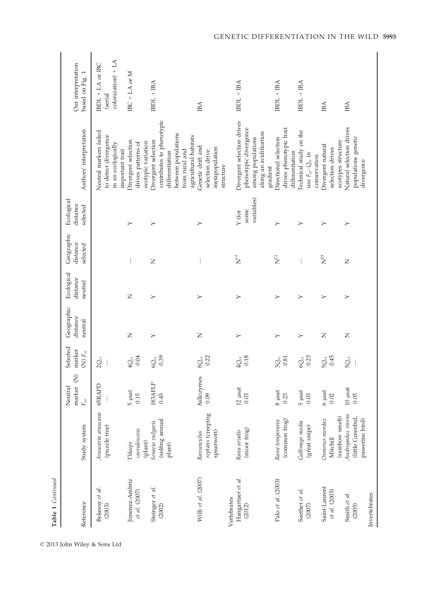| Table 1 Continued                          |                                                           |                                        |                                        |                                   |                                   |                                          |                                    |                                                                                                                                       |                                                       |
|--------------------------------------------|-----------------------------------------------------------|----------------------------------------|----------------------------------------|-----------------------------------|-----------------------------------|------------------------------------------|------------------------------------|---------------------------------------------------------------------------------------------------------------------------------------|-------------------------------------------------------|
| Reference                                  | Study system                                              | ĝ<br>Neutral<br>marker<br>$F_{\rm sr}$ | Selected<br>marker<br>(N) $F_{\rm sr}$ | Geographic<br>distance<br>neutral | Ecological<br>distance<br>neutral | Geographic<br>distance<br>selected       | Ecological<br>distance<br>selected | Authors' interpretation                                                                                                               | Our interpretation<br>based on Fig. 1                 |
| Bekessy et al.<br>(2003)                   | Araucaria araucana<br>(puzzle tree)                       | 65RAPD                                 | $2Q_{ST}$                              |                                   |                                   |                                          |                                    | Neutral markers failed<br>to detect divergence<br>in an ecologically<br>important trait                                               | $colonization) + LA$<br>IBDL $+ LA$ or IBC<br>(serial |
| Jimenez-Ambriz<br>et al. (2007)            | caerulescens<br>(plant)<br>Thlaspi                        | $5$ $\mu$ sat<br>0.15                  | 0.04<br>$4Q_{ST}$                      | Z                                 | Z                                 |                                          | $\succ$                            | Divergent selection<br>drives patterns of<br>ecotypic variation                                                                       | IBC + LA or $M$                                       |
| Steinger et al.<br>(2002)                  | (selfing annual<br>Senecio vulgaris<br>plant)             | 183AFLP<br>0.45                        | 0.39<br>$6Q_{ST}$                      | $\succ$                           | ≻                                 | $\overline{z}$                           | $\succ$                            | contributes to phenotypic<br>between populations<br>agricultural habitats<br>Divergent selection<br>from rural and<br>differentiation | $IBDL + IBA$                                          |
| Willi et al. $(2007)$                      | reptans (creeping<br>Ranunculus<br>spearwort)             | 8allozymes<br>0.09                     | 0.22<br>$8Q_{\rm ST}$                  | Z                                 | ≻                                 |                                          | ≻                                  | Genetic drift and<br>metapopulation<br>selection drive<br>structure                                                                   | IBA                                                   |
| Hangartner et al.<br>Vertebrates<br>(2012) | (moor frog)<br>Rana arvalis                               | $12$ µsat<br>0.03                      | 0.18<br>$4Q_{ST}$                      | $\succ$                           | ≻                                 | $\stackrel{\leftrightarrow}{\mathbf{Z}}$ | variables)<br>some<br>$Y$ (for     | Divergent selection drives<br>phenotypic divergence<br>along an acidification<br>among populations<br>gradient                        | $IBDL + IBA$                                          |
| Palo et al. (2003)                         | (common frog)<br>Rana temporaria                          | $8\ \mu sat$<br>0.23                   | $3Q_{ST}$<br>0.81                      | ≻                                 | ≻                                 | Ë                                        | ≻                                  | drives phenotypic trait<br>Directional selection<br>differentiation                                                                   | $IBDL + IBA$                                          |
| Saether et al.<br>(2007)                   | Gallinago media<br>(great snipe)                          | 5 µsat<br>0.03                         | 0.23<br>$6Q_{ST}$                      | $\succ$                           | $\succ$                           |                                          | $\succ$                            | Technical study on the<br>use $F_{\rm sr}$ $Q_{\rm sr}$ in<br>conservation                                                            | $IBDL + IBA$                                          |
| Saint-Laurent<br>et al. (2003)             | (rainbow smelt)<br>Osmerus mordax<br>Mitchill             | $6\ \mu sat$<br>0.02                   | 0.45<br>$5Q_{ST}$                      | $\overline{z}$                    | $\succ$                           | šš<br>Z                                  | $\succ$                            | ecotypes structure<br>Divergent natural<br>selection drives                                                                           | IBA                                                   |
| Smith et al.<br>Invertebrates<br>(2005)    | Andropadus virens<br>(little Greenbul,<br>passerine bird) | $10\,$ µsat<br>0.05                    | $5Q_{ST}$                              | Z                                 | $\succ$                           | Z                                        | $\succ$                            | Natural selection drives<br>populations genetic<br>divergence                                                                         | IBA                                                   |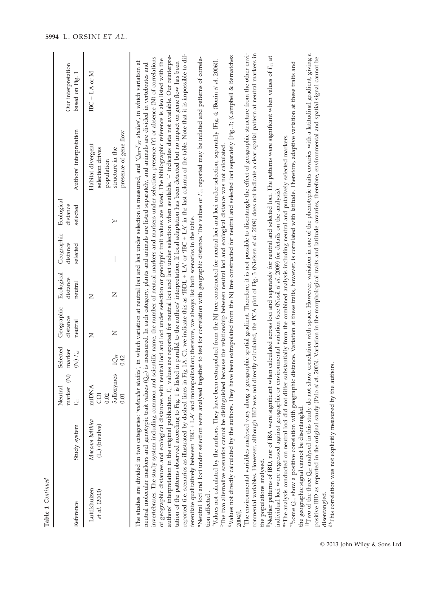| Table 1 Continued                                      |                                                                                                                                                                                                                                                                                                                                                                                                                                                                              |                                                          |                                        |                                   |                                   |                                    |                                    |                                                                                                                                                                                                                                                                                                                                                                                                                                                                                                                                                                                                                                                                                                                                                                                                                                                                                                                                                                                                                                                                                                                                                                                                                                                                                                                                                                                                                                                                                                                                                                                                                                                                                                                                                                                                                                                                                                                                                                                                                                                                                                                                                                                                                                                                                                                                                                                                                                                                                                                                                                                                                                                                                                                                                                                                                                                                                                                           |                                       |
|--------------------------------------------------------|------------------------------------------------------------------------------------------------------------------------------------------------------------------------------------------------------------------------------------------------------------------------------------------------------------------------------------------------------------------------------------------------------------------------------------------------------------------------------|----------------------------------------------------------|----------------------------------------|-----------------------------------|-----------------------------------|------------------------------------|------------------------------------|---------------------------------------------------------------------------------------------------------------------------------------------------------------------------------------------------------------------------------------------------------------------------------------------------------------------------------------------------------------------------------------------------------------------------------------------------------------------------------------------------------------------------------------------------------------------------------------------------------------------------------------------------------------------------------------------------------------------------------------------------------------------------------------------------------------------------------------------------------------------------------------------------------------------------------------------------------------------------------------------------------------------------------------------------------------------------------------------------------------------------------------------------------------------------------------------------------------------------------------------------------------------------------------------------------------------------------------------------------------------------------------------------------------------------------------------------------------------------------------------------------------------------------------------------------------------------------------------------------------------------------------------------------------------------------------------------------------------------------------------------------------------------------------------------------------------------------------------------------------------------------------------------------------------------------------------------------------------------------------------------------------------------------------------------------------------------------------------------------------------------------------------------------------------------------------------------------------------------------------------------------------------------------------------------------------------------------------------------------------------------------------------------------------------------------------------------------------------------------------------------------------------------------------------------------------------------------------------------------------------------------------------------------------------------------------------------------------------------------------------------------------------------------------------------------------------------------------------------------------------------------------------------------------------------|---------------------------------------|
| Reference                                              | Study system                                                                                                                                                                                                                                                                                                                                                                                                                                                                 | Ŝ<br>Neutral<br>marker<br>$F_{\rm sr}$                   | Selected<br>marker<br>(N) $F_{\rm sr}$ | Geographic<br>distance<br>neutral | Ecological<br>distance<br>neutral | Geographic<br>distance<br>selected | Ecological<br>distance<br>selected | Authors' interpretation                                                                                                                                                                                                                                                                                                                                                                                                                                                                                                                                                                                                                                                                                                                                                                                                                                                                                                                                                                                                                                                                                                                                                                                                                                                                                                                                                                                                                                                                                                                                                                                                                                                                                                                                                                                                                                                                                                                                                                                                                                                                                                                                                                                                                                                                                                                                                                                                                                                                                                                                                                                                                                                                                                                                                                                                                                                                                                   | Our interpretation<br>based on Fig. 1 |
| Luttikhuizen<br>et al. (2003)                          | Macoma balthica<br>(L.) (bivalve)                                                                                                                                                                                                                                                                                                                                                                                                                                            | <b>5allozymes</b><br>mtDNA<br><b>COI</b><br>0.02<br>0.01 | $1Q_{ST}$<br>0.42                      | Z<br>Z                            | Z<br>Z                            |                                    | $\succ$                            | presence of gene flow<br>Habitat divergent<br>selection drives<br>structure in the<br>population                                                                                                                                                                                                                                                                                                                                                                                                                                                                                                                                                                                                                                                                                                                                                                                                                                                                                                                                                                                                                                                                                                                                                                                                                                                                                                                                                                                                                                                                                                                                                                                                                                                                                                                                                                                                                                                                                                                                                                                                                                                                                                                                                                                                                                                                                                                                                                                                                                                                                                                                                                                                                                                                                                                                                                                                                          | $BC + LA$ or M                        |
| the populations analysed.<br>tion affected.<br>2004)]. | <sup>3</sup> The two alternative scenarios cannot be distinguished because the relationship between neutral loci and ecological distance was not calculated<br>individual loci were regressed against geographic or environmental variation (see (Nosil et al. 2009) for details on the analysis).<br>ferentiate qualitatively between TBC + LA' and monopolization; therefore, we always list both scenarios in the table.<br>the geographic signal cannot be disentangled. |                                                          |                                        |                                   |                                   |                                    |                                    | <sup>1</sup> The environmental variables analysed vary along a geographic spatial gradient. Therefore, it is not possible to disentangle the effect of geographic structure from the other envi-<br>rommental variables. However, although IBD was not directly calculated, the PCA plot of Fig. 3 (Nielsen et al. 2009) does not indicate a clear spatial pattern at neutral markers in<br>reported (i.e. scenarios as illustrated by dashed lines in Fig 1A, C), we indicate this as TBDL + LA' or TBC + LA' in the last column of the table. Note that it is impossible to dif-<br>Nalues not directly calculated by the authors. They have been extrapolated from the NJ tree constructed for neutral and selected loci separately [Fig. 3; (Campbell & Bernatchez<br>authors' interpretation in the original publication. F <sub>5</sub> values are reported for neutral loci and loci under selection when available. '-' indicates data not available. Our reinterpre-<br>Neither patterns of IBD, nor of IBA were significant when calculated across loci and separately for neutral and selected loci. The patterns were significant when values of $F_{\rm sr}$ at<br>invertebrates. The study system including common and scientific name, the number of neutral markers and markers under selection, presence (Y) or absence (N) of correlations<br>*Neutral loci and loci under selection were analysed together to test for correlation with geographic distance. The values of $F_{\rm sr}$ reported may be inflated and patterns of correla-<br>of geographic distances and ecological distances with neutral loci and loci under selection or genotypic trait values are listed. The bibliographic reference is also listed with the<br>Values not calculated by the authors. They have been extrapolated from the NJ tree constructed for neutral loci and loci under selection, separately [Fig. 4; (Bonin et al. 2006)].<br>The studies are divided in two categories: 'molecular studies', in which variation at neutral loci and loci under selection is measured, and 'Q <sub>ST</sub> -E <sub>ST</sub> studies', in which variation at<br>tation of the patterns observed according to Fig. 1 is listed in parallel to the authors' interpretation. If local adaptation has been detected but no impact on gene flow has been<br><sup>11</sup> Some Q <sub>3T</sub> show a positive correlation with geographic distance. Variation at these traits, however, is correlated with latitude. Therefore, adaptive variation at these traits and<br>neutral molecular markers and genotypic trait values (Q <sub>51</sub> ) is measured. In each category, plants and animals are listed separately, and animals are divided in vertebrates and<br>*The analysis conducted on neutral loci did not differ substantially from the combined analysis including neutral and putatively selected markers. |                                       |
|                                                        |                                                                                                                                                                                                                                                                                                                                                                                                                                                                              |                                                          |                                        |                                   |                                   |                                    |                                    | $^{44}$ Two of the three $Q_{57}$ analysed in this study do not show correlation with space. However, variation in one of the phenotypic traits covaries with a latitudinal gradient, giving a                                                                                                                                                                                                                                                                                                                                                                                                                                                                                                                                                                                                                                                                                                                                                                                                                                                                                                                                                                                                                                                                                                                                                                                                                                                                                                                                                                                                                                                                                                                                                                                                                                                                                                                                                                                                                                                                                                                                                                                                                                                                                                                                                                                                                                                                                                                                                                                                                                                                                                                                                                                                                                                                                                                            |                                       |

positive IBD as reported in the original study (Palo *et al.* 2003). Variation in the morphological traits and latitude covaries, therefore, environmental and spatial signal cannot be disentangled. positive IBD as reported in the original study (Palo et al. 2003). Variation in the morphological traits and latitude covaries, therefore, environmental and spatial signal cannot be disentangled.

<sup>88</sup>This correlation was not explicitly measured by the authors. §§This correlation was not explicitly measured by the authors.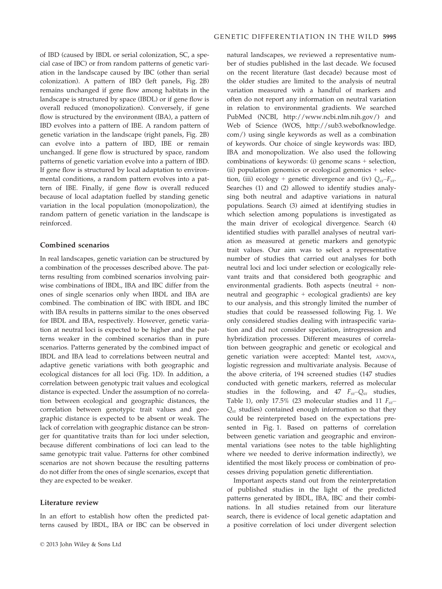of IBD (caused by IBDL or serial colonization, SC, a special case of IBC) or from random patterns of genetic variation in the landscape caused by IBC (other than serial colonization). A pattern of IBD (left panels, Fig. 2B) remains unchanged if gene flow among habitats in the landscape is structured by space (IBDL) or if gene flow is overall reduced (monopolization). Conversely, if gene flow is structured by the environment (IBA), a pattern of IBD evolves into a pattern of IBE. A random pattern of genetic variation in the landscape (right panels, Fig. 2B) can evolve into a pattern of IBD, IBE or remain unchanged. If gene flow is structured by space, random patterns of genetic variation evolve into a pattern of IBD. If gene flow is structured by local adaptation to environmental conditions, a random pattern evolves into a pattern of IBE. Finally, if gene flow is overall reduced because of local adaptation fuelled by standing genetic variation in the local population (monopolization), the random pattern of genetic variation in the landscape is reinforced.

## Combined scenarios

In real landscapes, genetic variation can be structured by a combination of the processes described above. The patterns resulting from combined scenarios involving pairwise combinations of IBDL, IBA and IBC differ from the ones of single scenarios only when IBDL and IBA are combined. The combination of IBC with IBDL and IBC with IBA results in patterns similar to the ones observed for IBDL and IBA, respectively. However, genetic variation at neutral loci is expected to be higher and the patterns weaker in the combined scenarios than in pure scenarios. Patterns generated by the combined impact of IBDL and IBA lead to correlations between neutral and adaptive genetic variations with both geographic and ecological distances for all loci (Fig. 1D). In addition, a correlation between genotypic trait values and ecological distance is expected. Under the assumption of no correlation between ecological and geographic distances, the correlation between genotypic trait values and geographic distance is expected to be absent or weak. The lack of correlation with geographic distance can be stronger for quantitative traits than for loci under selection, because different combinations of loci can lead to the same genotypic trait value. Patterns for other combined scenarios are not shown because the resulting patterns do not differ from the ones of single scenarios, except that they are expected to be weaker.

#### Literature review

In an effort to establish how often the predicted patterns caused by IBDL, IBA or IBC can be observed in natural landscapes, we reviewed a representative number of studies published in the last decade. We focused on the recent literature (last decade) because most of the older studies are limited to the analysis of neutral variation measured with a handful of markers and often do not report any information on neutral variation in relation to environmental gradients. We searched PubMed (NCBI, http://www.ncbi.nlm.nih.gov/) and Web of Science (WOS, http://sub3.webofknowledge. com/) using single keywords as well as a combination of keywords. Our choice of single keywords was: IBD, IBA and monopolization. We also used the following combinations of keywords: (i) genome scans + selection, (ii) population genomics or ecological genomics + selection, (iii) ecology + genetic divergence and (iv)  $Q_{ST} - F_{ST}$ . Searches (1) and (2) allowed to identify studies analysing both neutral and adaptive variations in natural populations. Search (3) aimed at identifying studies in which selection among populations is investigated as the main driver of ecological divergence. Search (4) identified studies with parallel analyses of neutral variation as measured at genetic markers and genotypic trait values. Our aim was to select a representative number of studies that carried out analyses for both neutral loci and loci under selection or ecologically relevant traits and that considered both geographic and environmental gradients. Both aspects (neutral + nonneutral and geographic + ecological gradients) are key to our analysis, and this strongly limited the number of studies that could be reassessed following Fig. 1. We only considered studies dealing with intraspecific variation and did not consider speciation, introgression and hybridization processes. Different measures of correlation between geographic and genetic or ecological and genetic variation were accepted: Mantel test, AMOVA, logistic regression and multivariate analysis. Because of the above criteria, of 194 screened studies (147 studies conducted with genetic markers, referred as molecular studies in the following, and 47  $F_{ST}-Q_{ST}$  studies, Table 1), only 17.5% (23 molecular studies and 11  $F_{ST}$ –  $Q<sub>ST</sub>$  studies) contained enough information so that they could be reinterpreted based on the expectations presented in Fig. 1. Based on patterns of correlation between genetic variation and geographic and environmental variations (see notes to the table highlighting where we needed to derive information indirectly), we identified the most likely process or combination of processes driving population genetic differentiation.

Important aspects stand out from the reinterpretation of published studies in the light of the predicted patterns generated by IBDL, IBA, IBC and their combinations. In all studies retained from our literature search, there is evidence of local genetic adaptation and a positive correlation of loci under divergent selection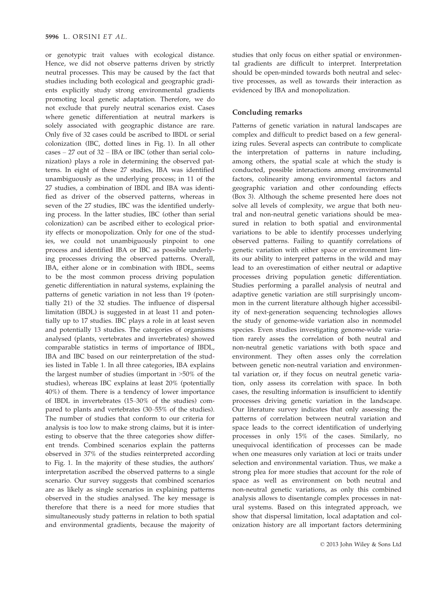or genotypic trait values with ecological distance. Hence, we did not observe patterns driven by strictly neutral processes. This may be caused by the fact that studies including both ecological and geographic gradients explicitly study strong environmental gradients promoting local genetic adaptation. Therefore, we do not exclude that purely neutral scenarios exist. Cases where genetic differentiation at neutral markers is solely associated with geographic distance are rare. Only five of 32 cases could be ascribed to IBDL or serial colonization (IBC, dotted lines in Fig. 1). In all other cases – 27 out of 32 – IBA or IBC (other than serial colonization) plays a role in determining the observed patterns. In eight of these 27 studies, IBA was identified unambiguously as the underlying process; in 11 of the 27 studies, a combination of IBDL and IBA was identified as driver of the observed patterns, whereas in seven of the 27 studies, IBC was the identified underlying process. In the latter studies, IBC (other than serial colonization) can be ascribed either to ecological priority effects or monopolization. Only for one of the studies, we could not unambiguously pinpoint to one process and identified IBA or IBC as possible underlying processes driving the observed patterns. Overall, IBA, either alone or in combination with IBDL, seems to be the most common process driving population genetic differentiation in natural systems, explaining the patterns of genetic variation in not less than 19 (potentially 21) of the 32 studies. The influence of dispersal limitation (IBDL) is suggested in at least 11 and potentially up to 17 studies. IBC plays a role in at least seven and potentially 13 studies. The categories of organisms analysed (plants, vertebrates and invertebrates) showed comparable statistics in terms of importance of IBDL, IBA and IBC based on our reinterpretation of the studies listed in Table 1. In all three categories, IBA explains the largest number of studies (important in >50% of the studies), whereas IBC explains at least 20% (potentially 40%) of them. There is a tendency of lower importance of IBDL in invertebrates (15–30% of the studies) compared to plants and vertebrates (30–55% of the studies). The number of studies that conform to our criteria for analysis is too low to make strong claims, but it is interesting to observe that the three categories show different trends. Combined scenarios explain the patterns observed in 37% of the studies reinterpreted according to Fig. 1. In the majority of these studies, the authors' interpretation ascribed the observed patterns to a single scenario. Our survey suggests that combined scenarios are as likely as single scenarios in explaining patterns observed in the studies analysed. The key message is therefore that there is a need for more studies that simultaneously study patterns in relation to both spatial and environmental gradients, because the majority of studies that only focus on either spatial or environmental gradients are difficult to interpret. Interpretation should be open-minded towards both neutral and selective processes, as well as towards their interaction as evidenced by IBA and monopolization.

## Concluding remarks

Patterns of genetic variation in natural landscapes are complex and difficult to predict based on a few generalizing rules. Several aspects can contribute to complicate the interpretation of patterns in nature including, among others, the spatial scale at which the study is conducted, possible interactions among environmental factors, colinearity among environmental factors and geographic variation and other confounding effects (Box 3). Although the scheme presented here does not solve all levels of complexity, we argue that both neutral and non-neutral genetic variations should be measured in relation to both spatial and environmental variations to be able to identify processes underlying observed patterns. Failing to quantify correlations of genetic variation with either space or environment limits our ability to interpret patterns in the wild and may lead to an overestimation of either neutral or adaptive processes driving population genetic differentiation. Studies performing a parallel analysis of neutral and adaptive genetic variation are still surprisingly uncommon in the current literature although higher accessibility of next-generation sequencing technologies allows the study of genome-wide variation also in nonmodel species. Even studies investigating genome-wide variation rarely asses the correlation of both neutral and non-neutral genetic variations with both space and environment. They often asses only the correlation between genetic non-neutral variation and environmental variation or, if they focus on neutral genetic variation, only assess its correlation with space. In both cases, the resulting information is insufficient to identify processes driving genetic variation in the landscape. Our literature survey indicates that only assessing the patterns of correlation between neutral variation and space leads to the correct identification of underlying processes in only 15% of the cases. Similarly, no unequivocal identification of processes can be made when one measures only variation at loci or traits under selection and environmental variation. Thus, we make a strong plea for more studies that account for the role of space as well as environment on both neutral and non-neutral genetic variations, as only this combined analysis allows to disentangle complex processes in natural systems. Based on this integrated approach, we show that dispersal limitation, local adaptation and colonization history are all important factors determining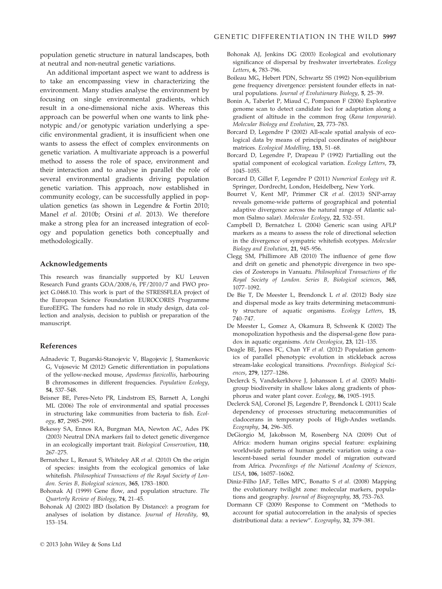population genetic structure in natural landscapes, both at neutral and non-neutral genetic variations.

An additional important aspect we want to address is to take an encompassing view in characterizing the environment. Many studies analyse the environment by focusing on single environmental gradients, which result in a one-dimensional niche axis. Whereas this approach can be powerful when one wants to link phenotypic and/or genotypic variation underlying a specific environmental gradient, it is insufficient when one wants to assess the effect of complex environments on genetic variation. A multivariate approach is a powerful method to assess the role of space, environment and their interaction and to analyse in parallel the role of several environmental gradients driving population genetic variation. This approach, now established in community ecology, can be successfully applied in population genetics (as shown in Legendre & Fortin 2010; Manel et al. 2010b; Orsini et al. 2013). We therefore make a strong plea for an increased integration of ecology and population genetics both conceptually and methodologically.

#### Acknowledgements

This research was financially supported by KU Leuven Research Fund grants GOA/2008/6, PF/2010/7 and FWO project G.0468.10. This work is part of the STRESSFLEA project of the European Science Foundation EUROCORES Programme EuroEEFG. The funders had no role in study design, data collection and analysis, decision to publish or preparation of the manuscript.

#### References

- Adnadevic T, Bugarski-Stanojevic V, Blagojevic J, Stamenkovic G, Vujosevic M (2012) Genetic differentiation in populations of the yellow-necked mouse, Apodemus flavicollis, harbouring B chromosomes in different frequencies. Population Ecology, 54, 537–548.
- Beisner BE, Peres-Neto PR, Lindstrom ES, Barnett A, Longhi ML (2006) The role of environmental and spatial processes in structuring lake communities from bacteria to fish. Ecology, 87, 2985–2991.
- Bekessy SA, Ennos RA, Burgman MA, Newton AC, Ades PK (2003) Neutral DNA markers fail to detect genetic divergence in an ecologically important trait. Biological Conservation, 110, 267–275.
- Bernatchez L, Renaut S, Whiteley AR et al. (2010) On the origin of species: insights from the ecological genomics of lake whitefish. Philosophical Transactions of the Royal Society of London. Series B, Biological sciences, 365, 1783–1800.
- Bohonak AJ (1999) Gene flow, and population structure. The Quarterly Review of Biology, 74, 21–45.
- Bohonak AJ (2002) IBD (Isolation By Distance): a program for analyses of isolation by distance. Journal of Heredity, 93, 153–154.
- Bohonak AJ, Jenkins DG (2003) Ecological and evolutionary significance of dispersal by freshwater invertebrates. Ecology Letters, 6, 783–796.
- Boileau MG, Hebert PDN, Schwartz SS (1992) Non-equilibrium gene frequency divergence: persistent founder effects in natural populations. Journal of Evolutionary Biology, 5, 25–39.
- Bonin A, Taberlet P, Miaud C, Pompanon F (2006) Explorative genome scan to detect candidate loci for adaptation along a gradient of altitude in the common frog (Rana temporaria). Molecular Biology and Evolution, 23, 773–783.
- Borcard D, Legendre P (2002) All-scale spatial analysis of ecological data by means of principal coordinates of neighbour matrices. Ecological Modelling, 153, 51–68.
- Borcard D, Legendre P, Drapeau P (1992) Partialling out the spatial component of ecological variation. Ecology Letters, 73, 1045–1055.
- Borcard D, Gillet F, Legendre P (2011) Numerical Ecology wit R. Springer, Dordrecht, London, Heidelberg, New York.
- Bourret V, Kent MP, Primmer CR et al. (2013) SNP-array reveals genome-wide patterns of geographical and potential adaptive divergence across the natural range of Atlantic salmon (Salmo salar). Molecular Ecology, 22, 532–551.
- Campbell D, Bernatchez L (2004) Generic scan using AFLP markers as a means to assess the role of directional selection in the divergence of sympatric whitefish ecotypes. Molecular Biology and Evolution, 21, 945–956.
- Clegg SM, Phillimore AB (2010) The influence of gene flow and drift on genetic and phenotypic divergence in two species of Zosterops in Vanuatu. Philosophical Transactions of the Royal Society of London. Series B, Biological sciences, 365, 1077–1092.
- De Bie T, De Meester L, Brendonck L et al. (2012) Body size and dispersal mode as key traits determining metacommunity structure of aquatic organisms. Ecology Letters, 15, 740–747.
- De Meester L, Gomez A, Okamura B, Schwenk K (2002) The monopolization hypothesis and the dispersal-gene flow paradox in aquatic organisms. Acta Oecologica, 23, 121–135.
- Deagle BE, Jones FC, Chan YF et al. (2012) Population genomics of parallel phenotypic evolution in stickleback across stream-lake ecological transitions. Proceedings. Biological Sciences, 279, 1277–1286.
- Declerck S, Vandekerkhove J, Johansson L et al. (2005) Multigroup biodiversity in shallow lakes along gradients of phosphorus and water plant cover. Ecology, 86, 1905–1915.
- Declerck SAJ, Coronel JS, Legendre P, Brendonck L (2011) Scale dependency of processes structuring metacommunities of cladocerans in temporary pools of High-Andes wetlands. Ecography, 34, 296–305.
- DeGiorgio M, Jakobsson M, Rosenberg NA (2009) Out of Africa: modern human origins special feature: explaining worldwide patterns of human genetic variation using a coalescent-based serial founder model of migration outward from Africa. Proceedings of the National Academy of Sciences, USA, 106, 16057–16062.
- Diniz-Filho JAF, Telles MPC, Bonatto S et al. (2008) Mapping the evolutionary twilight zone: molecular markers, populations and geography. Journal of Biogeography, 35, 753–763.
- Dormann CF (2009) Response to Comment on "Methods to account for spatial autocorrelation in the analysis of species distributional data: a review". Ecography, 32, 379–381.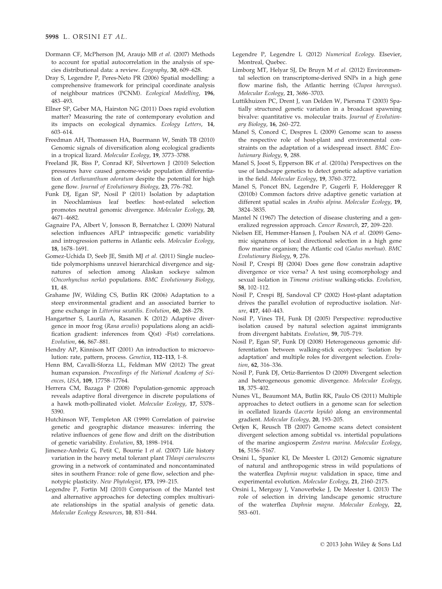- Dormann CF, McPherson JM, Araujo MB et al. (2007) Methods to account for spatial autocorrelation in the analysis of species distributional data: a review. Ecography, 30, 609–628.
- Dray S, Legendre P, Peres-Neto PR (2006) Spatial modelling: a comprehensive framework for principal coordinate analysis of neighbour matrices (PCNM). Ecological Modelling, 196, 483–493.
- Ellner SP, Geber MA, Hairston NG (2011) Does rapid evolution matter? Measuring the rate of contemporary evolution and its impacts on ecological dynamics. Ecology Letters, 14, 603–614.
- Freedman AH, Thomassen HA, Buermann W, Smith TB (2010) Genomic signals of diversification along ecological gradients in a tropical lizard. Molecular Ecology, 19, 3773–3788.
- Freeland JR, Biss P, Conrad KF, Silvertown J (2010) Selection pressures have caused genome-wide population differentiation of Anthoxanthum odoratum despite the potential for high gene flow. Journal of Evolutionary Biology, 23, 776–782.
- Funk DJ, Egan SP, Nosil P (2011) Isolation by adaptation in Neochlamisus leaf beetles: host-related selection promotes neutral genomic divergence. Molecular Ecology, 20, 4671–4682.
- Gagnaire PA, Albert V, Jonsson B, Bernatchez L (2009) Natural selection influences AFLP intraspecific genetic variability and introgression patterns in Atlantic eels. Molecular Ecology, 18, 1678–1691.
- Gomez-Uchida D, Seeb JE, Smith MJ et al. (2011) Single nucleotide polymorphisms unravel hierarchical divergence and signatures of selection among Alaskan sockeye salmon (Oncorhynchus nerka) populations. BMC Evolutionary Biology, 11, 48.
- Grahame JW, Wilding CS, Butlin RK (2006) Adaptation to a steep environmental gradient and an associated barrier to gene exchange in Littorina saxatilis. Evolution, 60, 268–278.
- Hangartner S, Laurila A, Rasanen K (2012) Adaptive divergence in moor frog (Rana arvalis) populations along an acidification gradient: inferences from Q(st) -F(st) correlations. Evolution, 66, 867–881.
- Hendry AP, Kinnison MT (2001) An introduction to microevolution: rate, pattern, process. Genetica, 112–113, 1–8.
- Henn BM, Cavalli-Sforza LL, Feldman MW (2012) The great human expansion. Proceedings of the National Academy of Sciences, USA, 109, 17758–17764.
- Herrera CM, Bazaga P (2008) Population-genomic approach reveals adaptive floral divergence in discrete populations of a hawk moth-pollinated violet. Molecular Ecology, 17, 5378– 5390.
- Hutchinson WF, Templeton AR (1999) Correlation of pairwise genetic and geographic distance measures: inferring the relative influences of gene flow and drift on the distribution of genetic variability. Evolution, 53, 1898–1914.
- Jimenez-Ambriz G, Petit C, Bourrie I et al. (2007) Life history variation in the heavy metal tolerant plant Thlaspi caerulescens growing in a network of contaminated and noncontaminated sites in southern France: role of gene flow, selection and phenotypic plasticity. New Phytologist, 173, 199–215.
- Legendre P, Fortin MJ (2010) Comparison of the Mantel test and alternative approaches for detecting complex multivariate relationships in the spatial analysis of genetic data. Molecular Ecology Resources, 10, 831–844.
- Legendre P, Legendre L (2012) Numerical Ecology. Elsevier, Montreal, Quebec.
- Limborg MT, Helyar SJ, De Bruyn M et al. (2012) Environmental selection on transcriptome-derived SNPs in a high gene flow marine fish, the Atlantic herring (Clupea harengus). Molecular Ecology, 21, 3686–3703.
- Luttikhuizen PC, Drent J, van Delden W, Piersma T (2003) Spatially structured genetic variation in a broadcast spawning bivalve: quantitative vs. molecular traits. Journal of Evolutionary Biology, 16, 260–272.
- Manel S, Conord C, Despres L (2009) Genome scan to assess the respective role of host-plant and environmental constraints on the adaptation of a widespread insect. BMC Evolutionary Biology, 9, 288.
- Manel S, Joost S, Epperson BK et al. (2010a) Perspectives on the use of landscape genetics to detect genetic adaptive variation in the field. Molecular Ecology, 19, 3760–3772.
- Manel S, Poncet BN, Legendre P, Gugerli F, Holderegger R (2010b) Common factors drive adaptive genetic variation at different spatial scales in Arabis alpina. Molecular Ecology, 19, 3824–3835.
- Mantel N (1967) The detection of disease clustering and a generalized regression approach. Cancer Research, 27, 209–220.
- Nielsen EE, Hemmer-Hansen J, Poulsen NA et al. (2009) Genomic signatures of local directional selection in a high gene flow marine organism; the Atlantic cod (Gadus morhua). BMC Evolutionary Biology, 9, 276.
- Nosil P, Crespi BJ (2004) Does gene flow constrain adaptive divergence or vice versa? A test using ecomorphology and sexual isolation in Timema cristinae walking-sticks. Evolution, 58, 102–112.
- Nosil P, Crespi BJ, Sandoval CP (2002) Host-plant adaptation drives the parallel evolution of reproductive isolation. Nature, 417, 440–443.
- Nosil P, Vines TH, Funk DJ (2005) Perspective: reproductive isolation caused by natural selection against immigrants from divergent habitats. Evolution, 59, 705–719.
- Nosil P, Egan SP, Funk DJ (2008) Heterogeneous genomic differentiation between walking-stick ecotypes: 'isolation by adaptation' and multiple roles for divergent selection. Evolution, 62, 316–336.
- Nosil P, Funk DJ, Ortiz-Barrientos D (2009) Divergent selection and heterogeneous genomic divergence. Molecular Ecology, 18, 375–402.
- Nunes VL, Beaumont MA, Butlin RK, Paulo OS (2011) Multiple approaches to detect outliers in a genome scan for selection in ocellated lizards (Lacerta lepida) along an environmental gradient. Molecular Ecology, 20, 193–205.
- Oetjen K, Reusch TB (2007) Genome scans detect consistent divergent selection among subtidal vs. intertidal populations of the marine angiosperm Zostera marina. Molecular Ecology, 16, 5156–5167.
- Orsini L, Spanier KI, De Meester L (2012) Genomic signature of natural and anthropogenic stress in wild populations of the waterflea Daphnia magna: validation in space, time and experimental evolution. Molecular Ecology, 21, 2160–2175.
- Orsini L, Mergeay J, Vanoverbeke J, De Meester L (2013) The role of selection in driving landscape genomic structure of the waterflea Daphnia magna. Molecular Ecology, 22, 583–601.